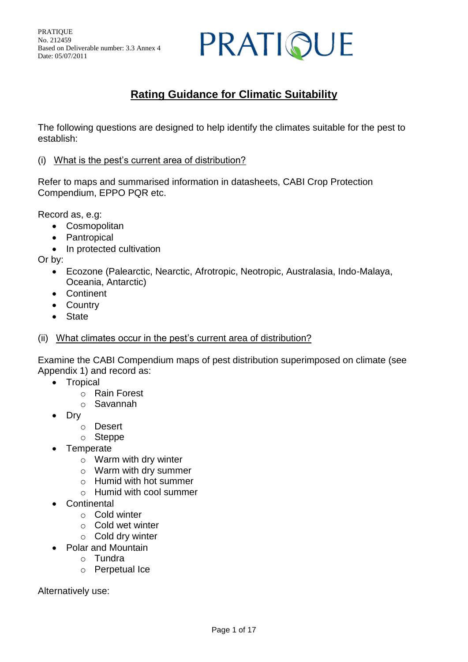### PRATIQUE

#### **Rating Guidance for Climatic Suitability**

The following questions are designed to help identify the climates suitable for the pest to establish:

(i) What is the pest's current area of distribution?

Refer to maps and summarised information in datasheets, CABI Crop Protection Compendium, EPPO PQR etc.

Record as, e.g:

- Cosmopolitan
- Pantropical
- In protected cultivation

Or by:

- Ecozone (Palearctic, Nearctic, Afrotropic, Neotropic, Australasia, Indo-Malaya, Oceania, Antarctic)
- Continent
- Country
- State
- (ii) What climates occur in the pest's current area of distribution?

Examine the CABI Compendium maps of pest distribution superimposed on climate (see Appendix 1) and record as:

- Tropical
	- o Rain Forest
	- o Savannah
- Dry
	- o Desert
	- o Steppe
- **Temperate** 
	- o Warm with dry winter
	- o Warm with dry summer
	- o Humid with hot summer
	- o Humid with cool summer
- **Continental** 
	- o Cold winter
	- o Cold wet winter
	- o Cold dry winter
- Polar and Mountain
	- o Tundra
	- o Perpetual Ice

Alternatively use: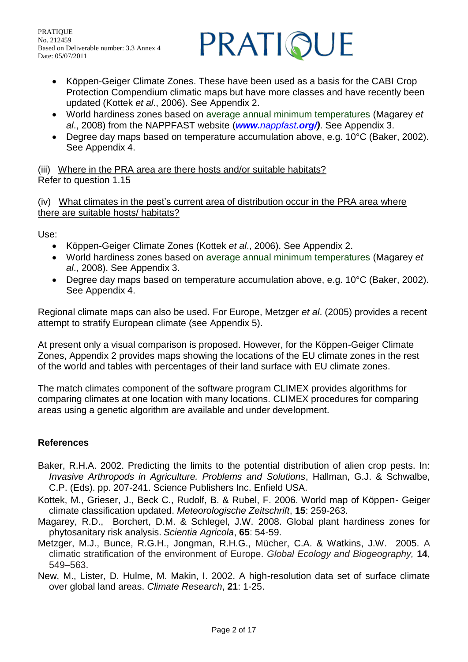

- Köppen-Geiger Climate Zones. These have been used as a basis for the CABI Crop Protection Compendium climatic maps but have more classes and have recently been updated (Kottek *et al*., 2006). See Appendix 2.
- World hardiness zones based on average annual minimum temperatures (Magarey *et al*., 2008) from the NAPPFAST website (*www.nappfast.org/)*. See Appendix 3.
- Degree day maps based on temperature accumulation above, e.g. 10°C (Baker, 2002). See Appendix 4.

(iii) Where in the PRA area are there hosts and/or suitable habitats? Refer to question 1.15

(iv) What climates in the pest's current area of distribution occur in the PRA area where there are suitable hosts/ habitats?

Use:

- Köppen-Geiger Climate Zones (Kottek *et al*., 2006). See Appendix 2.
- World hardiness zones based on average annual minimum temperatures (Magarey *et al*., 2008). See Appendix 3.
- Degree day maps based on temperature accumulation above, e.g. 10°C (Baker, 2002). See Appendix 4.

Regional climate maps can also be used. For Europe, Metzger *et al*. (2005) provides a recent attempt to stratify European climate (see Appendix 5).

At present only a visual comparison is proposed. However, for the Köppen-Geiger Climate Zones, Appendix 2 provides maps showing the locations of the EU climate zones in the rest of the world and tables with percentages of their land surface with EU climate zones.

The match climates component of the software program CLIMEX provides algorithms for comparing climates at one location with many locations. CLIMEX procedures for comparing areas using a genetic algorithm are available and under development.

#### **References**

- Baker, R.H.A. 2002. Predicting the limits to the potential distribution of alien crop pests. In: *Invasive Arthropods in Agriculture. Problems and Solutions*, Hallman, G.J. & Schwalbe, C.P. (Eds). pp. 207-241. Science Publishers Inc. Enfield USA.
- Kottek, M., Grieser, J., Beck C., Rudolf, B. & Rubel, F. 2006. World map of Köppen- Geiger climate classification updated. *Meteorologische Zeitschrift*, **15**: 259-263.
- Magarey, R.D., Borchert, D.M. & Schlegel, J.W. 2008. Global plant hardiness zones for phytosanitary risk analysis. *Scientia Agricola*, **65**: 54-59.
- Metzger, M.J., Bunce, R.G.H., Jongman, R.H.G., Mücher, C.A. & Watkins, J.W. 2005. A climatic stratification of the environment of Europe. *Global Ecology and Biogeography,* **14**, 549–563.
- New, M., Lister, D. Hulme, M. Makin, I. 2002. A high-resolution data set of surface climate over global land areas. *Climate Research*, **21**: 1-25.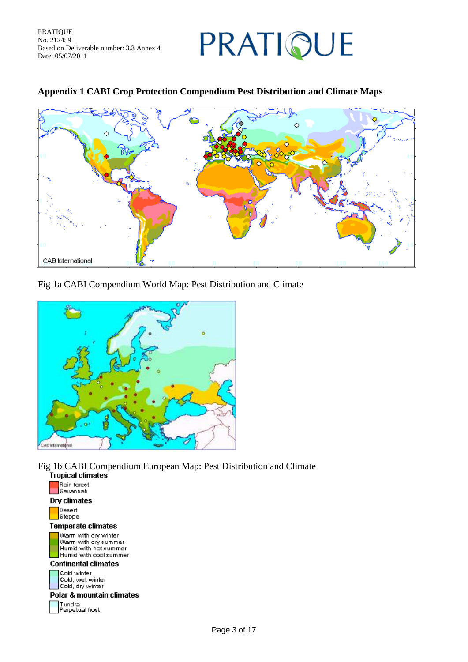### PRATIQUE

# $\ddot{\circ}$ CAB International

#### **Appendix 1 CABI Crop Protection Compendium Pest Distribution and Climate Maps**

#### Fig 1a CABI Compendium World Map: Pest Distribution and Climate



Fig 1b CABI Compendium European Map: Pest Distribution and Climate

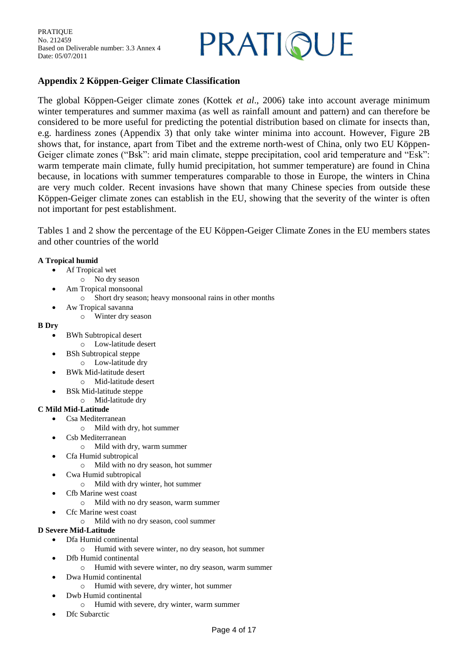### PRATIQUE

#### **Appendix 2 Köppen-Geiger Climate Classification**

The global Köppen-Geiger climate zones (Kottek *et al*., 2006) take into account average minimum winter temperatures and summer maxima (as well as rainfall amount and pattern) and can therefore be considered to be more useful for predicting the potential distribution based on climate for insects than, e.g. hardiness zones (Appendix 3) that only take winter minima into account. However, Figure 2B shows that, for instance, apart from Tibet and the extreme north-west of China, only two EU Köppen-Geiger climate zones ("Bsk": arid main climate, steppe precipitation, cool arid temperature and "Esk": warm temperate main climate, fully humid precipitation, hot summer temperature) are found in China because, in locations with summer temperatures comparable to those in Europe, the winters in China are very much colder. Recent invasions have shown that many Chinese species from outside these Köppen-Geiger climate zones can establish in the EU, showing that the severity of the winter is often not important for pest establishment.

Tables 1 and 2 show the percentage of the EU Köppen-Geiger Climate Zones in the EU members states and other countries of the world

#### **A Tropical humid**

- Af Tropical wet
	- o No dry season
- Am Tropical monsoonal
	- o Short dry season; heavy monsoonal rains in other months
- Aw Tropical savanna
	- o Winter dry season

#### **B Dry**

- BWh Subtropical desert
	- o Low-latitude desert
- BSh Subtropical steppe
	- o Low-latitude dry
- BWk Mid-latitude desert
	- o Mid-latitude desert
- BSk Mid-latitude steppe
- o Mid-latitude dry

#### **C Mild Mid-Latitude**

- Csa Mediterranean
	- o Mild with dry, hot summer
	- Csb Mediterranean
		- o Mild with dry, warm summer
- Cfa Humid subtropical
	- o Mild with no dry season, hot summer
- Cwa Humid subtropical
	- o Mild with dry winter, hot summer
- Cfb Marine west coast
	- o Mild with no dry season, warm summer
- Cfc Marine west coast
	- o Mild with no dry season, cool summer

#### **D Severe Mid-Latitude**

- Dfa Humid continental
	- o Humid with severe winter, no dry season, hot summer
- Dfb Humid continental
	- o Humid with severe winter, no dry season, warm summer
- Dwa Humid continental
	- o Humid with severe, dry winter, hot summer
- Dwb Humid continental
- o Humid with severe, dry winter, warm summer
- Dfc Subarctic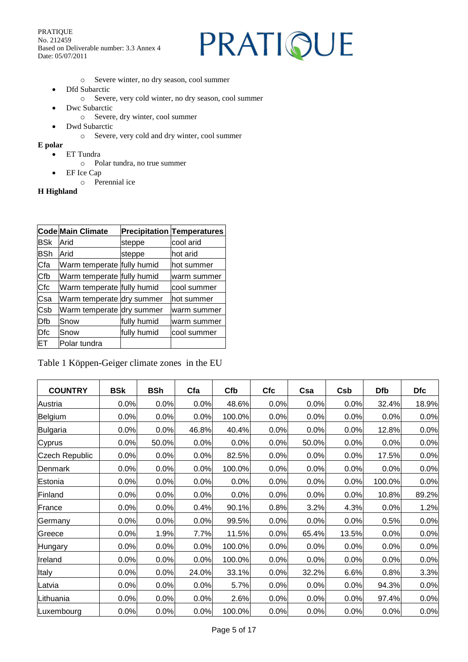### PRATIQUE

- o Severe winter, no dry season, cool summer
- Dfd Subarctic
	- o Severe, very cold winter, no dry season, cool summer
- Dwc Subarctic
	- o Severe, dry winter, cool summer
- Dwd Subarctic
	- o Severe, very cold and dry winter, cool summer
- **E polar**
	- ET Tundra
		- o Polar tundra, no true summer
	- EF Ice Cap
		- o Perennial ice

#### **H Highland**

|            | Code Main Climate          |             | <b>Precipitation Temperatures</b> |
|------------|----------------------------|-------------|-----------------------------------|
| <b>BSK</b> | Arid                       | steppe      | cool arid                         |
| <b>BSh</b> | Arid                       | steppe      | lhot arid                         |
| Cfa        | Warm temperate fully humid |             | hot summer                        |
| Cfb        | Warm temperate fully humid |             | warm summer                       |
| Cfc        | Warm temperate fully humid |             | cool summer                       |
| Csa        | Warm temperate dry summer  |             | hot summer                        |
| Csb        | Warm temperate dry summer  |             | warm summer                       |
| Dfb        | Snow                       | fully humid | warm summer                       |
| Dfc        | Snow                       | fully humid | cool summer                       |
| ET         | Polar tundra               |             |                                   |

Table 1 Köppen-Geiger climate zones in the EU

| <b>COUNTRY</b>        | <b>BSk</b> | <b>BSh</b> | Cfa   | Cfb    | <b>Cfc</b> | Csa   | Csb   | <b>Dfb</b> | <b>Dfc</b> |
|-----------------------|------------|------------|-------|--------|------------|-------|-------|------------|------------|
| Austria               | 0.0%       | 0.0%       | 0.0%  | 48.6%  | 0.0%       | 0.0%  | 0.0%  | 32.4%      | 18.9%      |
| Belgium               | 0.0%       | 0.0%       | 0.0%  | 100.0% | 0.0%       | 0.0%  | 0.0%  | 0.0%       | 0.0%       |
| Bulgaria              | 0.0%       | 0.0%       | 46.8% | 40.4%  | 0.0%       | 0.0%  | 0.0%  | 12.8%      | 0.0%       |
| Cyprus                | 0.0%       | 50.0%      | 0.0%  | 0.0%   | 0.0%       | 50.0% | 0.0%  | 0.0%       | 0.0%       |
| <b>Czech Republic</b> | 0.0%       | 0.0%       | 0.0%  | 82.5%  | 0.0%       | 0.0%  | 0.0%  | 17.5%      | 0.0%       |
| Denmark               | 0.0%       | 0.0%       | 0.0%  | 100.0% | 0.0%       | 0.0%  | 0.0%  | 0.0%       | 0.0%       |
| Estonia               | 0.0%       | 0.0%       | 0.0%  | 0.0%   | 0.0%       | 0.0%  | 0.0%  | 100.0%     | 0.0%       |
| Finland               | 0.0%       | 0.0%       | 0.0%  | 0.0%   | 0.0%       | 0.0%  | 0.0%  | 10.8%      | 89.2%      |
| France                | 0.0%       | 0.0%       | 0.4%  | 90.1%  | 0.8%       | 3.2%  | 4.3%  | 0.0%       | 1.2%       |
| Germany               | 0.0%       | 0.0%       | 0.0%  | 99.5%  | 0.0%       | 0.0%  | 0.0%  | 0.5%       | 0.0%       |
| Greece                | 0.0%       | 1.9%       | 7.7%  | 11.5%  | 0.0%       | 65.4% | 13.5% | 0.0%       | 0.0%       |
| Hungary               | 0.0%       | 0.0%       | 0.0%  | 100.0% | 0.0%       | 0.0%  | 0.0%  | 0.0%       | 0.0%       |
| Ireland               | 0.0%       | 0.0%       | 0.0%  | 100.0% | 0.0%       | 0.0%  | 0.0%  | 0.0%       | 0.0%       |
| Italy                 | 0.0%       | 0.0%       | 24.0% | 33.1%  | 0.0%       | 32.2% | 6.6%  | 0.8%       | 3.3%       |
| Latvia                | 0.0%       | 0.0%       | 0.0%  | 5.7%   | 0.0%       | 0.0%  | 0.0%  | 94.3%      | 0.0%       |
| Lithuania             | 0.0%       | 0.0%       | 0.0%  | 2.6%   | 0.0%       | 0.0%  | 0.0%  | 97.4%      | 0.0%       |
| Luxembourg            | 0.0%       | 0.0%       | 0.0%  | 100.0% | 0.0%       | 0.0%  | 0.0%  | 0.0%       | 0.0%       |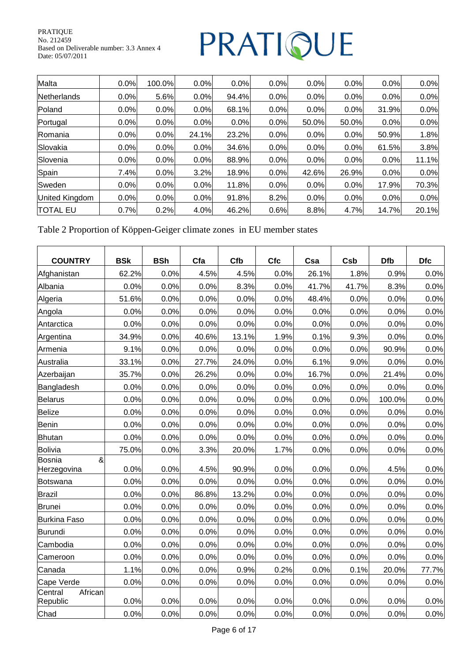### PRATIQUE

| Malta                 | 0.0% | 100.0% | 0.0%  | 0.0%  | 0.0% | 0.0%  | 0.0%  | 0.0%  | 0.0%  |
|-----------------------|------|--------|-------|-------|------|-------|-------|-------|-------|
| Netherlands           | 0.0% | 5.6%   | 0.0%  | 94.4% | 0.0% | 0.0%  | 0.0%  | 0.0%  | 0.0%  |
| Poland                | 0.0% | 0.0%   | 0.0%  | 68.1% | 0.0% | 0.0%  | 0.0%  | 31.9% | 0.0%  |
| Portugal              | 0.0% | 0.0%   | 0.0%  | 0.0%  | 0.0% | 50.0% | 50.0% | 0.0%  | 0.0%  |
| Romania               | 0.0% | 0.0%   | 24.1% | 23.2% | 0.0% | 0.0%  | 0.0%  | 50.9% | 1.8%  |
| Slovakia              | 0.0% | 0.0%   | 0.0%  | 34.6% | 0.0% | 0.0%  | 0.0%  | 61.5% | 3.8%  |
| Slovenia              | 0.0% | 0.0%   | 0.0%  | 88.9% | 0.0% | 0.0%  | 0.0%  | 0.0%  | 11.1% |
| Spain                 | 7.4% | 0.0%   | 3.2%  | 18.9% | 0.0% | 42.6% | 26.9% | 0.0%  | 0.0%  |
| Sweden                | 0.0% | 0.0%   | 0.0%  | 11.8% | 0.0% | 0.0%  | 0.0%  | 17.9% | 70.3% |
| <b>United Kingdom</b> | 0.0% | 0.0%   | 0.0%  | 91.8% | 8.2% | 0.0%  | 0.0%  | 0.0%  | 0.0%  |
| <b>TOTAL EU</b>       | 0.7% | 0.2%   | 4.0%  | 46.2% | 0.6% | 8.8%  | 4.7%  | 14.7% | 20.1% |

Table 2 Proportion of Köppen-Geiger climate zones in EU member states

| <b>COUNTRY</b>                 | <b>BSK</b> | <b>BSh</b> | Cfa   | Cfb   | <b>Cfc</b> | Csa   | Csb   | <b>Dfb</b> | <b>Dfc</b> |
|--------------------------------|------------|------------|-------|-------|------------|-------|-------|------------|------------|
| Afghanistan                    | 62.2%      | 0.0%       | 4.5%  | 4.5%  | 0.0%       | 26.1% | 1.8%  | 0.9%       | 0.0%       |
| Albania                        | 0.0%       | 0.0%       | 0.0%  | 8.3%  | 0.0%       | 41.7% | 41.7% | 8.3%       | 0.0%       |
| Algeria                        | 51.6%      | 0.0%       | 0.0%  | 0.0%  | 0.0%       | 48.4% | 0.0%  | 0.0%       | 0.0%       |
| Angola                         | 0.0%       | 0.0%       | 0.0%  | 0.0%  | 0.0%       | 0.0%  | 0.0%  | 0.0%       | 0.0%       |
| Antarctica                     | 0.0%       | 0.0%       | 0.0%  | 0.0%  | 0.0%       | 0.0%  | 0.0%  | 0.0%       | 0.0%       |
| Argentina                      | 34.9%      | 0.0%       | 40.6% | 13.1% | 1.9%       | 0.1%  | 9.3%  | 0.0%       | 0.0%       |
| Armenia                        | 9.1%       | 0.0%       | 0.0%  | 0.0%  | 0.0%       | 0.0%  | 0.0%  | 90.9%      | 0.0%       |
| Australia                      | 33.1%      | 0.0%       | 27.7% | 24.0% | 0.0%       | 6.1%  | 9.0%  | 0.0%       | 0.0%       |
| Azerbaijan                     | 35.7%      | 0.0%       | 26.2% | 0.0%  | 0.0%       | 16.7% | 0.0%  | 21.4%      | 0.0%       |
| Bangladesh                     | 0.0%       | 0.0%       | 0.0%  | 0.0%  | 0.0%       | 0.0%  | 0.0%  | 0.0%       | 0.0%       |
| Belarus                        | 0.0%       | 0.0%       | 0.0%  | 0.0%  | 0.0%       | 0.0%  | 0.0%  | 100.0%     | 0.0%       |
| Belize                         | 0.0%       | 0.0%       | 0.0%  | 0.0%  | 0.0%       | 0.0%  | 0.0%  | 0.0%       | 0.0%       |
| Benin                          | 0.0%       | 0.0%       | 0.0%  | 0.0%  | 0.0%       | 0.0%  | 0.0%  | 0.0%       | 0.0%       |
| Bhutan                         | 0.0%       | 0.0%       | 0.0%  | 0.0%  | 0.0%       | 0.0%  | 0.0%  | 0.0%       | 0.0%       |
| Bolivia                        | 75.0%      | 0.0%       | 3.3%  | 20.0% | 1.7%       | 0.0%  | 0.0%  | 0.0%       | 0.0%       |
| &<br>Bosnia<br>Herzegovina     | 0.0%       | 0.0%       | 4.5%  | 90.9% | 0.0%       | 0.0%  | 0.0%  | 4.5%       | 0.0%       |
| Botswana                       | 0.0%       | 0.0%       | 0.0%  | 0.0%  | 0.0%       | 0.0%  | 0.0%  | 0.0%       | 0.0%       |
| Brazil                         | 0.0%       | 0.0%       | 86.8% | 13.2% | 0.0%       | 0.0%  | 0.0%  | 0.0%       | 0.0%       |
| Brunei                         | 0.0%       | 0.0%       | 0.0%  | 0.0%  | 0.0%       | 0.0%  | 0.0%  | 0.0%       | 0.0%       |
| <b>Burkina Faso</b>            | 0.0%       | 0.0%       | 0.0%  | 0.0%  | 0.0%       | 0.0%  | 0.0%  | 0.0%       | 0.0%       |
| Burundi                        | 0.0%       | 0.0%       | 0.0%  | 0.0%  | 0.0%       | 0.0%  | 0.0%  | 0.0%       | 0.0%       |
| Cambodia                       | 0.0%       | 0.0%       | 0.0%  | 0.0%  | 0.0%       | 0.0%  | 0.0%  | 0.0%       | 0.0%       |
| Cameroon                       | 0.0%       | 0.0%       | 0.0%  | 0.0%  | 0.0%       | 0.0%  | 0.0%  | 0.0%       | 0.0%       |
| Canada                         | 1.1%       | 0.0%       | 0.0%  | 0.9%  | 0.2%       | 0.0%  | 0.1%  | 20.0%      | 77.7%      |
| Cape Verde                     | 0.0%       | 0.0%       | 0.0%  | 0.0%  | 0.0%       | 0.0%  | 0.0%  | 0.0%       | 0.0%       |
| African<br>Central<br>Republic | 0.0%       | 0.0%       | 0.0%  | 0.0%  | 0.0%       | 0.0%  | 0.0%  | 0.0%       | 0.0%       |
| Chad                           | 0.0%       | 0.0%       | 0.0%  | 0.0%  | 0.0%       | 0.0%  | 0.0%  | 0.0%       | 0.0%       |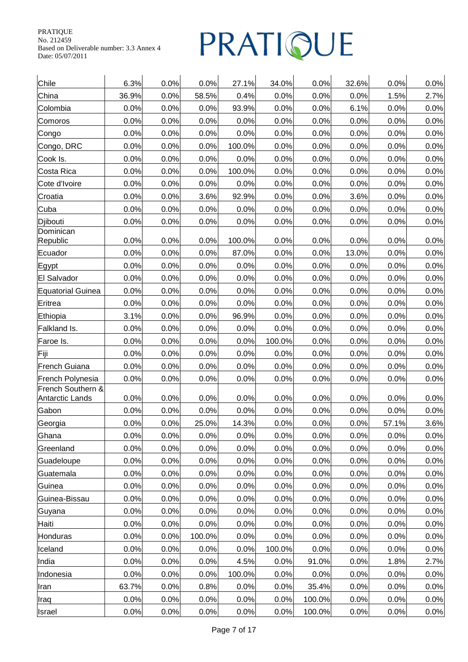| Chile                    | 6.3%  | 0.0% | 0.0%   | 27.1%  | 34.0%  | 0.0%   | 32.6% | 0.0%  | 0.0% |
|--------------------------|-------|------|--------|--------|--------|--------|-------|-------|------|
| China                    | 36.9% | 0.0% | 58.5%  | 0.4%   | 0.0%   | 0.0%   | 0.0%  | 1.5%  | 2.7% |
| Colombia                 | 0.0%  | 0.0% | 0.0%   | 93.9%  | 0.0%   | 0.0%   | 6.1%  | 0.0%  | 0.0% |
| Comoros                  | 0.0%  | 0.0% | 0.0%   | 0.0%   | 0.0%   | 0.0%   | 0.0%  | 0.0%  | 0.0% |
| Congo                    | 0.0%  | 0.0% | 0.0%   | 0.0%   | 0.0%   | 0.0%   | 0.0%  | 0.0%  | 0.0% |
| Congo, DRC               | 0.0%  | 0.0% | 0.0%   | 100.0% | 0.0%   | 0.0%   | 0.0%  | 0.0%  | 0.0% |
| Cook Is.                 | 0.0%  | 0.0% | 0.0%   | 0.0%   | 0.0%   | 0.0%   | 0.0%  | 0.0%  | 0.0% |
| Costa Rica               | 0.0%  | 0.0% | 0.0%   | 100.0% | 0.0%   | 0.0%   | 0.0%  | 0.0%  | 0.0% |
| Cote d'Ivoire            | 0.0%  | 0.0% | 0.0%   | 0.0%   | 0.0%   | 0.0%   | 0.0%  | 0.0%  | 0.0% |
| Croatia                  | 0.0%  | 0.0% | 3.6%   | 92.9%  | 0.0%   | 0.0%   | 3.6%  | 0.0%  | 0.0% |
| Cuba                     | 0.0%  | 0.0% | 0.0%   | 0.0%   | 0.0%   | 0.0%   | 0.0%  | 0.0%  | 0.0% |
| Djibouti                 | 0.0%  | 0.0% | 0.0%   | 0.0%   | 0.0%   | 0.0%   | 0.0%  | 0.0%  | 0.0% |
| Dominican<br>Republic    | 0.0%  | 0.0% | 0.0%   | 100.0% | 0.0%   | 0.0%   | 0.0%  | 0.0%  | 0.0% |
| Ecuador                  | 0.0%  | 0.0% | 0.0%   | 87.0%  | 0.0%   | 0.0%   | 13.0% | 0.0%  | 0.0% |
| Egypt                    | 0.0%  | 0.0% | 0.0%   | 0.0%   | 0.0%   | 0.0%   | 0.0%  | 0.0%  | 0.0% |
| El Salvador              | 0.0%  | 0.0% | 0.0%   | 0.0%   | 0.0%   | 0.0%   | 0.0%  | 0.0%  | 0.0% |
| <b>Equatorial Guinea</b> | 0.0%  | 0.0% | 0.0%   | 0.0%   | 0.0%   | 0.0%   | 0.0%  | 0.0%  | 0.0% |
| Eritrea                  | 0.0%  | 0.0% | 0.0%   | 0.0%   | 0.0%   | 0.0%   | 0.0%  | 0.0%  | 0.0% |
| Ethiopia                 | 3.1%  | 0.0% | 0.0%   | 96.9%  | 0.0%   | 0.0%   | 0.0%  | 0.0%  | 0.0% |
| Falkland Is.             | 0.0%  | 0.0% | 0.0%   | 0.0%   | 0.0%   | 0.0%   | 0.0%  | 0.0%  | 0.0% |
| Faroe Is.                | 0.0%  | 0.0% | 0.0%   | 0.0%   | 100.0% | 0.0%   | 0.0%  | 0.0%  | 0.0% |
| Fiji                     | 0.0%  | 0.0% | 0.0%   | 0.0%   | 0.0%   | 0.0%   | 0.0%  | 0.0%  | 0.0% |
| French Guiana            | 0.0%  | 0.0% | 0.0%   | 0.0%   | 0.0%   | 0.0%   | 0.0%  | 0.0%  | 0.0% |
| French Polynesia         | 0.0%  | 0.0% | 0.0%   | 0.0%   | 0.0%   | 0.0%   | 0.0%  | 0.0%  | 0.0% |
| French Southern &        |       |      |        |        |        |        |       |       |      |
| <b>Antarctic Lands</b>   | 0.0%  | 0.0% | 0.0%   | 0.0%   | 0.0%   | 0.0%   | 0.0%  | 0.0%  | 0.0% |
| Gabon                    | 0.0%  | 0.0% | 0.0%   | 0.0%   | 0.0%   | 0.0%   | 0.0%  | 0.0%  | 0.0% |
| Georgia                  | 0.0%  | 0.0% | 25.0%  | 14.3%  | 0.0%   | 0.0%   | 0.0%  | 57.1% | 3.6% |
| Ghana                    | 0.0%  | 0.0% | 0.0%   | 0.0%   | 0.0%   | 0.0%   | 0.0%  | 0.0%  | 0.0% |
| Greenland                | 0.0%  | 0.0% | 0.0%   | 0.0%   | 0.0%   | 0.0%   | 0.0%  | 0.0%  | 0.0% |
| Guadeloupe               | 0.0%  | 0.0% | 0.0%   | 0.0%   | 0.0%   | 0.0%   | 0.0%  | 0.0%  | 0.0% |
| Guatemala                | 0.0%  | 0.0% | 0.0%   | 0.0%   | 0.0%   | 0.0%   | 0.0%  | 0.0%  | 0.0% |
| Guinea                   | 0.0%  | 0.0% | 0.0%   | 0.0%   | 0.0%   | 0.0%   | 0.0%  | 0.0%  | 0.0% |
| Guinea-Bissau            | 0.0%  | 0.0% | 0.0%   | 0.0%   | 0.0%   | 0.0%   | 0.0%  | 0.0%  | 0.0% |
| Guyana                   | 0.0%  | 0.0% | 0.0%   | 0.0%   | 0.0%   | 0.0%   | 0.0%  | 0.0%  | 0.0% |
| Haiti                    | 0.0%  | 0.0% | 0.0%   | 0.0%   | 0.0%   | 0.0%   | 0.0%  | 0.0%  | 0.0% |
| Honduras                 | 0.0%  | 0.0% | 100.0% | 0.0%   | 0.0%   | 0.0%   | 0.0%  | 0.0%  | 0.0% |
| Iceland                  | 0.0%  | 0.0% | 0.0%   | 0.0%   | 100.0% | 0.0%   | 0.0%  | 0.0%  | 0.0% |
| India                    | 0.0%  | 0.0% | 0.0%   | 4.5%   | 0.0%   | 91.0%  | 0.0%  | 1.8%  | 2.7% |
| Indonesia                | 0.0%  | 0.0% | 0.0%   | 100.0% | 0.0%   | 0.0%   | 0.0%  | 0.0%  | 0.0% |
| Iran                     | 63.7% | 0.0% | 0.8%   | 0.0%   | 0.0%   | 35.4%  | 0.0%  | 0.0%  | 0.0% |
| Iraq                     | 0.0%  | 0.0% | 0.0%   | 0.0%   | 0.0%   | 100.0% | 0.0%  | 0.0%  | 0.0% |
| Israel                   | 0.0%  | 0.0% | 0.0%   | 0.0%   | 0.0%   | 100.0% | 0.0%  | 0.0%  | 0.0% |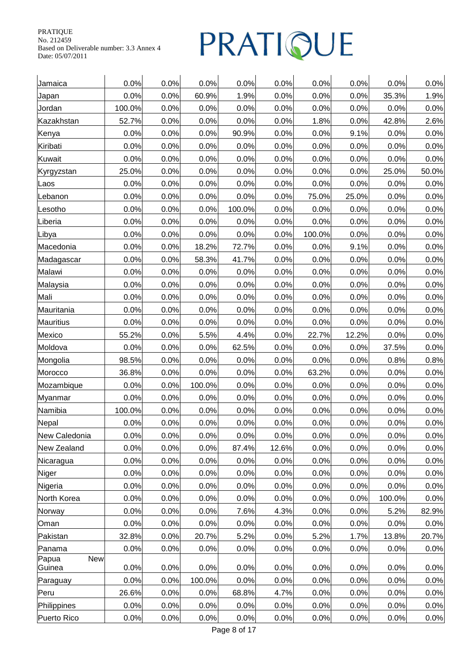| Jamaica                       | 0.0%   | 0.0% | 0.0%   | 0.0%   | 0.0%  | 0.0%   | 0.0%  | 0.0%   | 0.0%  |
|-------------------------------|--------|------|--------|--------|-------|--------|-------|--------|-------|
| Japan                         | 0.0%   | 0.0% | 60.9%  | 1.9%   | 0.0%  | 0.0%   | 0.0%  | 35.3%  | 1.9%  |
| Jordan                        | 100.0% | 0.0% | 0.0%   | 0.0%   | 0.0%  | 0.0%   | 0.0%  | 0.0%   | 0.0%  |
| Kazakhstan                    | 52.7%  | 0.0% | 0.0%   | 0.0%   | 0.0%  | 1.8%   | 0.0%  | 42.8%  | 2.6%  |
| Kenya                         | 0.0%   | 0.0% | 0.0%   | 90.9%  | 0.0%  | 0.0%   | 9.1%  | 0.0%   | 0.0%  |
| Kiribati                      | 0.0%   | 0.0% | 0.0%   | 0.0%   | 0.0%  | 0.0%   | 0.0%  | 0.0%   | 0.0%  |
| Kuwait                        | 0.0%   | 0.0% | 0.0%   | 0.0%   | 0.0%  | 0.0%   | 0.0%  | 0.0%   | 0.0%  |
| Kyrgyzstan                    | 25.0%  | 0.0% | 0.0%   | 0.0%   | 0.0%  | 0.0%   | 0.0%  | 25.0%  | 50.0% |
| Laos                          | 0.0%   | 0.0% | 0.0%   | 0.0%   | 0.0%  | 0.0%   | 0.0%  | 0.0%   | 0.0%  |
| Lebanon                       | 0.0%   | 0.0% | 0.0%   | 0.0%   | 0.0%  | 75.0%  | 25.0% | 0.0%   | 0.0%  |
| Lesotho                       | 0.0%   | 0.0% | 0.0%   | 100.0% | 0.0%  | 0.0%   | 0.0%  | 0.0%   | 0.0%  |
| Liberia                       | 0.0%   | 0.0% | 0.0%   | 0.0%   | 0.0%  | 0.0%   | 0.0%  | 0.0%   | 0.0%  |
| Libya                         | 0.0%   | 0.0% | 0.0%   | 0.0%   | 0.0%  | 100.0% | 0.0%  | 0.0%   | 0.0%  |
| Macedonia                     | 0.0%   | 0.0% | 18.2%  | 72.7%  | 0.0%  | 0.0%   | 9.1%  | 0.0%   | 0.0%  |
| Madagascar                    | 0.0%   | 0.0% | 58.3%  | 41.7%  | 0.0%  | 0.0%   | 0.0%  | 0.0%   | 0.0%  |
| Malawi                        | 0.0%   | 0.0% | 0.0%   | 0.0%   | 0.0%  | 0.0%   | 0.0%  | 0.0%   | 0.0%  |
| Malaysia                      | 0.0%   | 0.0% | 0.0%   | 0.0%   | 0.0%  | 0.0%   | 0.0%  | 0.0%   | 0.0%  |
| Mali                          | 0.0%   | 0.0% | 0.0%   | 0.0%   | 0.0%  | 0.0%   | 0.0%  | 0.0%   | 0.0%  |
| Mauritania                    | 0.0%   | 0.0% | 0.0%   | 0.0%   | 0.0%  | 0.0%   | 0.0%  | 0.0%   | 0.0%  |
| <b>Mauritius</b>              | 0.0%   | 0.0% | 0.0%   | 0.0%   | 0.0%  | 0.0%   | 0.0%  | 0.0%   | 0.0%  |
| Mexico                        | 55.2%  | 0.0% | 5.5%   | 4.4%   | 0.0%  | 22.7%  | 12.2% | 0.0%   | 0.0%  |
| Moldova                       | 0.0%   | 0.0% | 0.0%   | 62.5%  | 0.0%  | 0.0%   | 0.0%  | 37.5%  | 0.0%  |
| Mongolia                      | 98.5%  | 0.0% | 0.0%   | 0.0%   | 0.0%  | 0.0%   | 0.0%  | 0.8%   | 0.8%  |
| Morocco                       | 36.8%  | 0.0% | 0.0%   | 0.0%   | 0.0%  | 63.2%  | 0.0%  | 0.0%   | 0.0%  |
| Mozambique                    | 0.0%   | 0.0% | 100.0% | 0.0%   | 0.0%  | 0.0%   | 0.0%  | 0.0%   | 0.0%  |
| Myanmar                       | 0.0%   | 0.0% | 0.0%   | 0.0%   | 0.0%  | 0.0%   | 0.0%  | 0.0%   | 0.0%  |
| Namibia                       | 100.0% | 0.0% | 0.0%   | 0.0%   | 0.0%  | 0.0%   | 0.0%  | 0.0%   | 0.0%  |
| Nepal                         | 0.0%   | 0.0% | 0.0%   | 0.0%   | 0.0%  | 0.0%   | 0.0%  | 0.0%   | 0.0%  |
| New Caledonia                 | 0.0%   | 0.0% | 0.0%   | 0.0%   | 0.0%  | 0.0%   | 0.0%  | 0.0%   | 0.0%  |
| New Zealand                   | 0.0%   | 0.0% | 0.0%   | 87.4%  | 12.6% | 0.0%   | 0.0%  | 0.0%   | 0.0%  |
| Nicaragua                     | 0.0%   | 0.0% | 0.0%   | 0.0%   | 0.0%  | 0.0%   | 0.0%  | 0.0%   | 0.0%  |
| Niger                         | 0.0%   | 0.0% | 0.0%   | 0.0%   | 0.0%  | 0.0%   | 0.0%  | 0.0%   | 0.0%  |
| Nigeria                       | 0.0%   | 0.0% | 0.0%   | 0.0%   | 0.0%  | 0.0%   | 0.0%  | 0.0%   | 0.0%  |
| North Korea                   | 0.0%   | 0.0% | 0.0%   | 0.0%   | 0.0%  | 0.0%   | 0.0%  | 100.0% | 0.0%  |
| Norway                        | 0.0%   | 0.0% | 0.0%   | 7.6%   | 4.3%  | 0.0%   | 0.0%  | 5.2%   | 82.9% |
| Oman                          | 0.0%   | 0.0% | 0.0%   | 0.0%   | 0.0%  | 0.0%   | 0.0%  | 0.0%   | 0.0%  |
| Pakistan                      | 32.8%  | 0.0% | 20.7%  | 5.2%   | 0.0%  | 5.2%   | 1.7%  | 13.8%  | 20.7% |
| Panama                        | 0.0%   | 0.0% | 0.0%   | 0.0%   | 0.0%  | 0.0%   | 0.0%  | 0.0%   | 0.0%  |
| Papua<br><b>New</b><br>Guinea | 0.0%   | 0.0% | 0.0%   | 0.0%   | 0.0%  | 0.0%   | 0.0%  | 0.0%   | 0.0%  |
| Paraguay                      | 0.0%   | 0.0% | 100.0% | 0.0%   | 0.0%  | 0.0%   | 0.0%  | 0.0%   | 0.0%  |
| Peru                          | 26.6%  | 0.0% | 0.0%   | 68.8%  | 4.7%  | 0.0%   | 0.0%  | 0.0%   | 0.0%  |
| Philippines                   | 0.0%   | 0.0% | 0.0%   | 0.0%   | 0.0%  | 0.0%   | 0.0%  | 0.0%   | 0.0%  |
| Puerto Rico                   | 0.0%   | 0.0% | 0.0%   | 0.0%   | 0.0%  | 0.0%   | 0.0%  | 0.0%   | 0.0%  |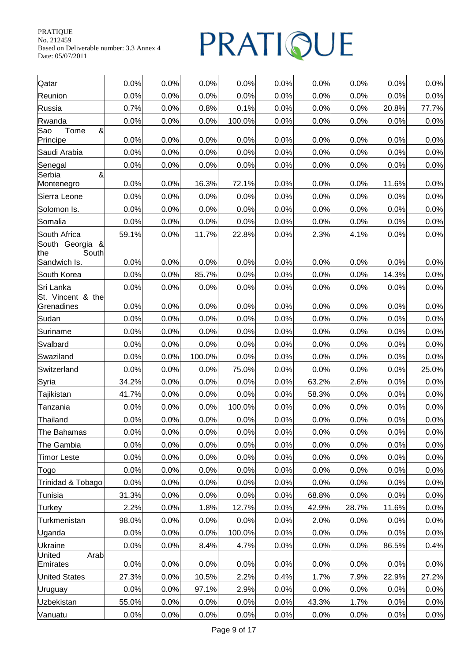| Qatar                                 | 0.0%  | 0.0% | 0.0%   | 0.0%   | 0.0% | 0.0%  | 0.0%  | 0.0%  | 0.0%  |
|---------------------------------------|-------|------|--------|--------|------|-------|-------|-------|-------|
| Reunion                               | 0.0%  | 0.0% | 0.0%   | 0.0%   | 0.0% | 0.0%  | 0.0%  | 0.0%  | 0.0%  |
| Russia                                | 0.7%  | 0.0% | 0.8%   | 0.1%   | 0.0% | 0.0%  | 0.0%  | 20.8% | 77.7% |
| Rwanda                                | 0.0%  | 0.0% | 0.0%   | 100.0% | 0.0% | 0.0%  | 0.0%  | 0.0%  | 0.0%  |
| &<br>Sao<br>Tome<br>Principe          | 0.0%  | 0.0% | 0.0%   | 0.0%   | 0.0% | 0.0%  | 0.0%  | 0.0%  | 0.0%  |
| Saudi Arabia                          | 0.0%  | 0.0% | 0.0%   | 0.0%   | 0.0% | 0.0%  | 0.0%  | 0.0%  | 0.0%  |
| Senegal                               | 0.0%  | 0.0% | 0.0%   | 0.0%   | 0.0% | 0.0%  | 0.0%  | 0.0%  | 0.0%  |
| Serbia<br>&<br>Montenegro             | 0.0%  | 0.0% | 16.3%  | 72.1%  | 0.0% | 0.0%  | 0.0%  | 11.6% | 0.0%  |
| Sierra Leone                          | 0.0%  | 0.0% | 0.0%   | 0.0%   | 0.0% | 0.0%  | 0.0%  | 0.0%  | 0.0%  |
| Solomon Is.                           | 0.0%  | 0.0% | 0.0%   | 0.0%   | 0.0% | 0.0%  | 0.0%  | 0.0%  | 0.0%  |
| Somalia                               | 0.0%  | 0.0% | 0.0%   | 0.0%   | 0.0% | 0.0%  | 0.0%  | 0.0%  | 0.0%  |
| South Africa                          | 59.1% | 0.0% | 11.7%  | 22.8%  | 0.0% | 2.3%  | 4.1%  | 0.0%  | 0.0%  |
| South Georgia<br>$\&$<br>South<br>the |       |      |        |        |      |       |       |       |       |
| Sandwich Is.                          | 0.0%  | 0.0% | 0.0%   | 0.0%   | 0.0% | 0.0%  | 0.0%  | 0.0%  | 0.0%  |
| South Korea                           | 0.0%  | 0.0% | 85.7%  | 0.0%   | 0.0% | 0.0%  | 0.0%  | 14.3% | 0.0%  |
| Sri Lanka                             | 0.0%  | 0.0% | 0.0%   | 0.0%   | 0.0% | 0.0%  | 0.0%  | 0.0%  | 0.0%  |
| St. Vincent & the<br>Grenadines       | 0.0%  | 0.0% | 0.0%   | 0.0%   | 0.0% | 0.0%  | 0.0%  | 0.0%  | 0.0%  |
| Sudan                                 | 0.0%  | 0.0% | 0.0%   | 0.0%   | 0.0% | 0.0%  | 0.0%  | 0.0%  | 0.0%  |
| Suriname                              | 0.0%  | 0.0% | 0.0%   | 0.0%   | 0.0% | 0.0%  | 0.0%  | 0.0%  | 0.0%  |
| Svalbard                              | 0.0%  | 0.0% | 0.0%   | 0.0%   | 0.0% | 0.0%  | 0.0%  | 0.0%  | 0.0%  |
| Swaziland                             | 0.0%  | 0.0% | 100.0% | 0.0%   | 0.0% | 0.0%  | 0.0%  | 0.0%  | 0.0%  |
| Switzerland                           | 0.0%  | 0.0% | 0.0%   | 75.0%  | 0.0% | 0.0%  | 0.0%  | 0.0%  | 25.0% |
| Syria                                 | 34.2% | 0.0% | 0.0%   | 0.0%   | 0.0% | 63.2% | 2.6%  | 0.0%  | 0.0%  |
| Tajikistan                            | 41.7% | 0.0% | 0.0%   | 0.0%   | 0.0% | 58.3% | 0.0%  | 0.0%  | 0.0%  |
| Tanzania                              | 0.0%  | 0.0% | 0.0%   | 100.0% | 0.0% | 0.0%  | 0.0%  | 0.0%  | 0.0%  |
| Thailand                              | 0.0%  | 0.0% | 0.0%   | 0.0%   | 0.0% | 0.0%  | 0.0%  | 0.0%  | 0.0%  |
| The Bahamas                           | 0.0%  | 0.0% | 0.0%   | 0.0%   | 0.0% | 0.0%  | 0.0%  | 0.0%  | 0.0%  |
| The Gambia                            | 0.0%  | 0.0% | 0.0%   | 0.0%   | 0.0% | 0.0%  | 0.0%  | 0.0%  | 0.0%  |
| <b>Timor Leste</b>                    | 0.0%  | 0.0% | 0.0%   | 0.0%   | 0.0% | 0.0%  | 0.0%  | 0.0%  | 0.0%  |
| Togo                                  | 0.0%  | 0.0% | 0.0%   | 0.0%   | 0.0% | 0.0%  | 0.0%  | 0.0%  | 0.0%  |
| Trinidad & Tobago                     | 0.0%  | 0.0% | 0.0%   | 0.0%   | 0.0% | 0.0%  | 0.0%  | 0.0%  | 0.0%  |
| Tunisia                               | 31.3% | 0.0% | 0.0%   | 0.0%   | 0.0% | 68.8% | 0.0%  | 0.0%  | 0.0%  |
| Turkey                                | 2.2%  | 0.0% | 1.8%   | 12.7%  | 0.0% | 42.9% | 28.7% | 11.6% | 0.0%  |
| Turkmenistan                          | 98.0% | 0.0% | 0.0%   | 0.0%   | 0.0% | 2.0%  | 0.0%  | 0.0%  | 0.0%  |
| Uganda                                | 0.0%  | 0.0% | 0.0%   | 100.0% | 0.0% | 0.0%  | 0.0%  | 0.0%  | 0.0%  |
| Ukraine                               | 0.0%  | 0.0% | 8.4%   | 4.7%   | 0.0% | 0.0%  | 0.0%  | 86.5% | 0.4%  |
| Arab<br>United<br>Emirates            | 0.0%  | 0.0% | 0.0%   | 0.0%   | 0.0% | 0.0%  | 0.0%  | 0.0%  | 0.0%  |
| <b>United States</b>                  | 27.3% | 0.0% | 10.5%  | 2.2%   | 0.4% | 1.7%  | 7.9%  | 22.9% | 27.2% |
| Uruguay                               | 0.0%  | 0.0% | 97.1%  | 2.9%   | 0.0% | 0.0%  | 0.0%  | 0.0%  | 0.0%  |
| Uzbekistan                            | 55.0% | 0.0% | 0.0%   | 0.0%   | 0.0% | 43.3% | 1.7%  | 0.0%  | 0.0%  |
| Vanuatu                               | 0.0%  | 0.0% | 0.0%   | 0.0%   | 0.0% | 0.0%  | 0.0%  | 0.0%  | 0.0%  |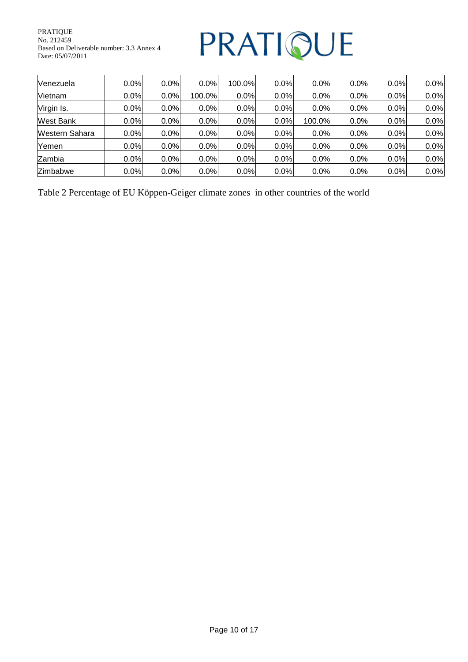### PRATIQUE

| IVenezuela            | 0.0%    | 0.0% | 0.0%   | 100.0% | 0.0% | $0.0\%$ | 0.0% | 0.0% | 0.0% |
|-----------------------|---------|------|--------|--------|------|---------|------|------|------|
| Vietnam               | 0.0%    | 0.0% | 100.0% | 0.0%   | 0.0% | 0.0%    | 0.0% | 0.0% | 0.0% |
| Virgin Is.            | $0.0\%$ | 0.0% | 0.0%   | 0.0%   | 0.0% | 0.0%    | 0.0% | 0.0% | 0.0% |
| West Bank             | $0.0\%$ | 0.0% | 0.0%   | 0.0%   | 0.0% | 100.0%  | 0.0% | 0.0% | 0.0% |
| <b>Western Sahara</b> | $0.0\%$ | 0.0% | 0.0%   | 0.0%   | 0.0% | 0.0%    | 0.0% | 0.0% | 0.0% |
| Yemen                 | 0.0%    | 0.0% | 0.0%   | 0.0%   | 0.0% | 0.0%    | 0.0% | 0.0% | 0.0% |
| lZambia               | 0.0%    | 0.0% | 0.0%   | 0.0%   | 0.0% | 0.0%    | 0.0% | 0.0% | 0.0% |
| Zimbabwe              | $0.0\%$ | 0.0% | 0.0%   | 0.0%   | 0.0% | 0.0%    | 0.0% | 0.0% | 0.0% |

Table 2 Percentage of EU Köppen-Geiger climate zones in other countries of the world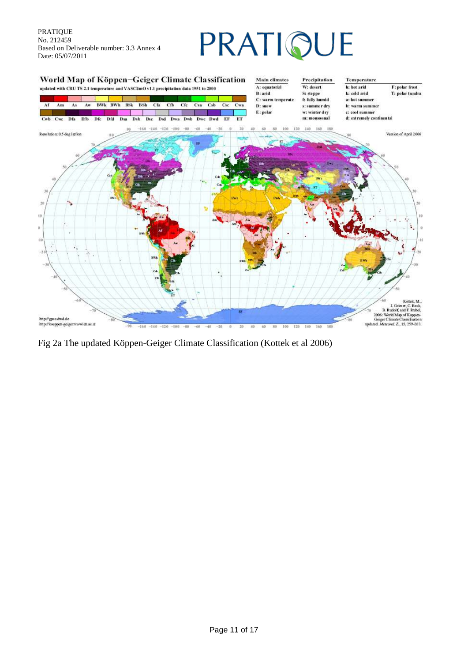

Fig 2a The updated Köppen-Geiger Climate Classification (Kottek et al 2006)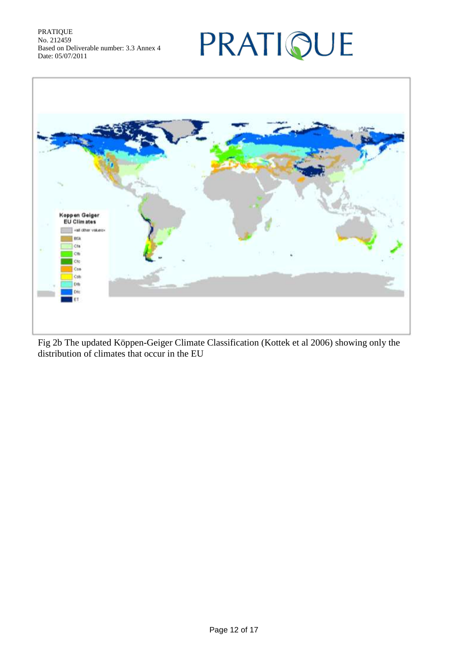### PRATIQUE



Fig 2b The updated Köppen-Geiger Climate Classification (Kottek et al 2006) showing only the distribution of climates that occur in the EU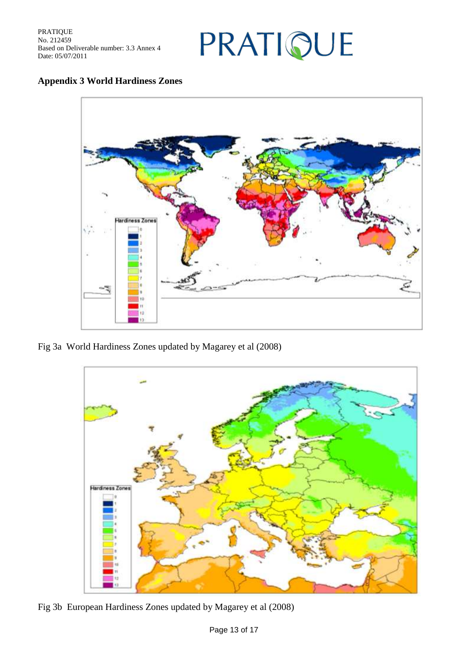

#### **Appendix 3 World Hardiness Zones**



Fig 3a World Hardiness Zones updated by Magarey et al (2008)



Fig 3b European Hardiness Zones updated by Magarey et al (2008)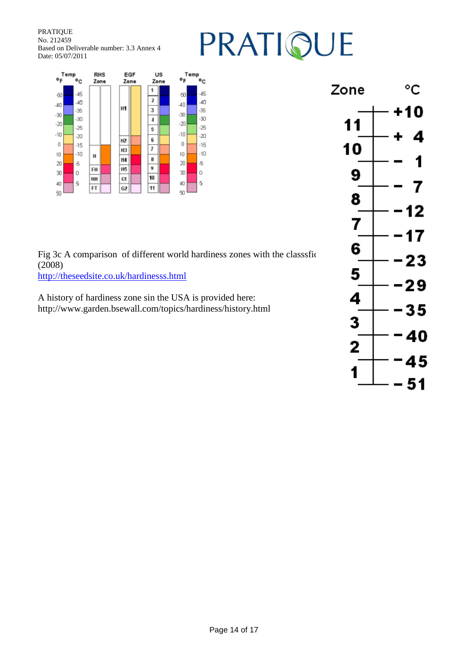## PRATIQUE



Fig 3c A comparison of different world hardiness zones with the classsfic  $\begin{array}{ccc} 6 & -23 \ \hline \end{array}$ (2008) <http://theseedsite.co.uk/hardinesss.html>

A history of hardiness zone sin the USA is provided here: http://www.garden.bsewall.com/topics/hardiness/history.html

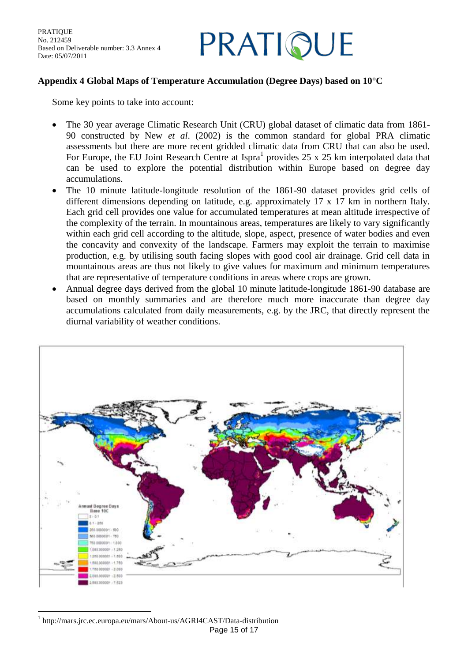### PRATIQUE

#### **Appendix 4 Global Maps of Temperature Accumulation (Degree Days) based on 10°C**

Some key points to take into account:

- The 30 year average Climatic Research Unit (CRU) global dataset of climatic data from 1861- 90 constructed by New *et al*. (2002) is the common standard for global PRA climatic assessments but there are more recent gridded climatic data from CRU that can also be used. For Europe, the EU Joint Research Centre at Ispra<sup>1</sup> provides  $25 \times 25$  km interpolated data that can be used to explore the potential distribution within Europe based on degree day accumulations.
- The 10 minute latitude-longitude resolution of the 1861-90 dataset provides grid cells of different dimensions depending on latitude, e.g. approximately 17 x 17 km in northern Italy. Each grid cell provides one value for accumulated temperatures at mean altitude irrespective of the complexity of the terrain. In mountainous areas, temperatures are likely to vary significantly within each grid cell according to the altitude, slope, aspect, presence of water bodies and even the concavity and convexity of the landscape. Farmers may exploit the terrain to maximise production, e.g. by utilising south facing slopes with good cool air drainage. Grid cell data in mountainous areas are thus not likely to give values for maximum and minimum temperatures that are representative of temperature conditions in areas where crops are grown.
- Annual degree days derived from the global 10 minute latitude-longitude 1861-90 database are based on monthly summaries and are therefore much more inaccurate than degree day accumulations calculated from daily measurements, e.g. by the JRC, that directly represent the diurnal variability of weather conditions.



Page 15 of 17  $\overline{a}$ 1 http://mars.jrc.ec.europa.eu/mars/About-us/AGRI4CAST/Data-distribution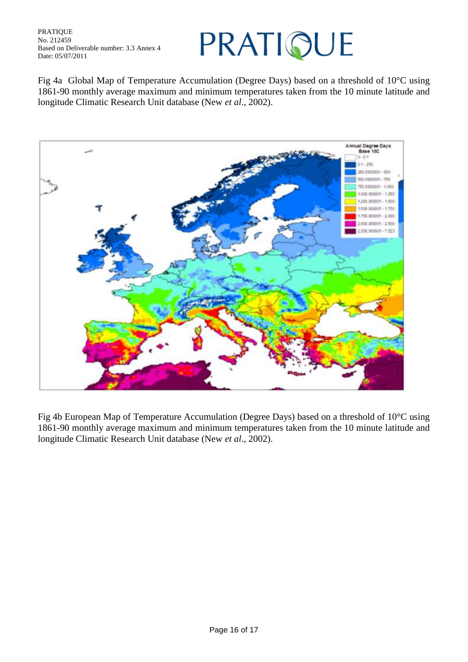### PRATIQUE

Fig 4a Global Map of Temperature Accumulation (Degree Days) based on a threshold of 10°C using 1861-90 monthly average maximum and minimum temperatures taken from the 10 minute latitude and longitude Climatic Research Unit database (New *et al*., 2002).



Fig 4b European Map of Temperature Accumulation (Degree Days) based on a threshold of 10°C using 1861-90 monthly average maximum and minimum temperatures taken from the 10 minute latitude and longitude Climatic Research Unit database (New *et al*., 2002).